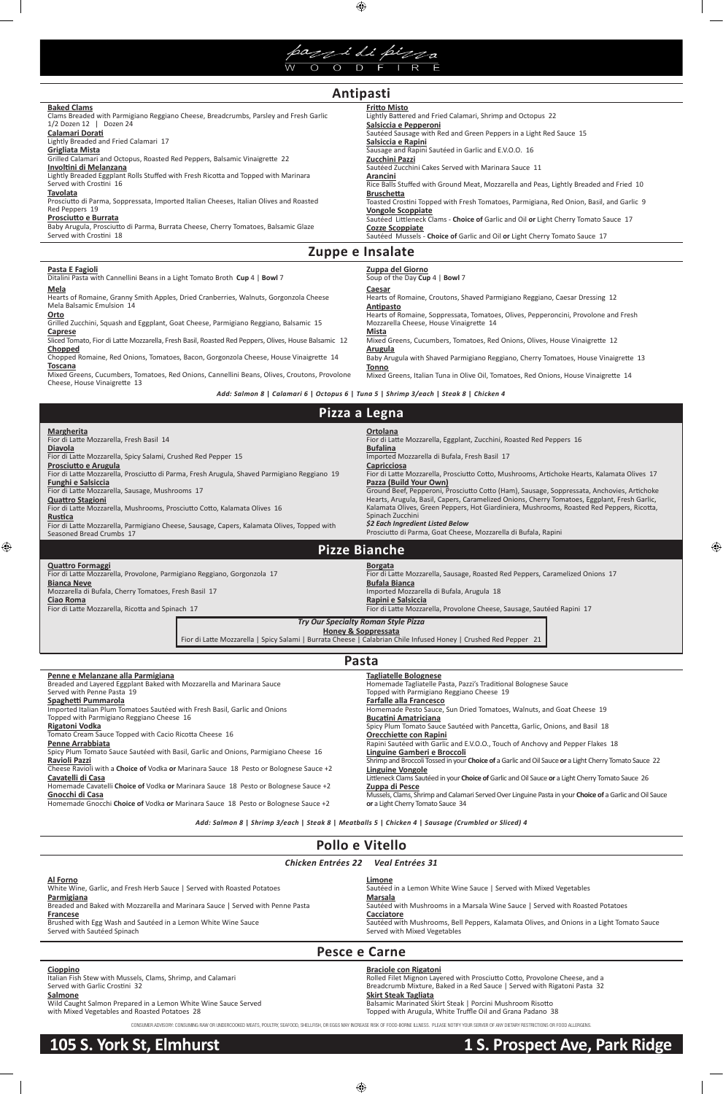

 $\bigoplus$ 

#### **Pasta E Fagioli** Ditalini Pasta with Cannellini Beans in a Light Tomato Broth **Cup** 4 | **Bowl** 7 **Zuppa del Giorno** Soup of the Day **Cup** 4 | **Bowl** 7 **Mela** Hearts of Romaine, Granny Smith Apples, Dried Cranberries, Walnuts, Gorgonzola Cheese Mela Balsamic Emulsion 14 **Orto** Grilled Zucchini, Squash and Eggplant, Goat Cheese, Parmigiano Reggiano, Balsamic 15 **Caprese** Sliced Tomato, Fior di Latte Mozzarella, Fresh Basil, Roasted Red Peppers, Olives, House Balsamic 12 **Chopped** Chopped Romaine, Red Onions, Tomatoes, Bacon, Gorgonzola Cheese, House Vinaigrette 14 **Toscana** Mixed Greens, Cucumbers, Tomatoes, Red Onions, Cannellini Beans, Olives, Croutons, Provolone Cheese, House Vinaigrette 13 **Caesar** Hearts of Romaine, Croutons, Shaved Parmigiano Reggiano, Caesar Dressing 12 **Antipasto** Hearts of Romaine, Soppressata, Tomatoes, Olives, Pepperoncini, Provolone and Fresh Mozzarella Cheese, House Vinaigrette 14 **Mista** Mixed Greens, Cucumbers, Tomatoes, Red Onions, Olives, House Vinaigrette 12 **Arugula** Baby Arugula with Shaved Parmigiano Reggiano, Cherry Tomatoes, House Vinaigrette 13 **Tonno** Mixed Greens, Italian Tuna in Olive Oil, Tomatoes, Red Onions, House Vinaigrette 14

| <b>Alitipasti</b>                                                                      |                                                                                         |  |  |
|----------------------------------------------------------------------------------------|-----------------------------------------------------------------------------------------|--|--|
| <b>Baked Clams</b>                                                                     | <b>Fritto Misto</b>                                                                     |  |  |
| Clams Breaded with Parmigiano Reggiano Cheese, Breadcrumbs, Parsley and Fresh Garlic   | Lightly Battered and Fried Calamari, Shrimp and Octopus 22                              |  |  |
| 1/2 Dozen 12   Dozen 24                                                                | Salsiccia e Pepperoni                                                                   |  |  |
| Calamari Dorati                                                                        | Sautéed Sausage with Red and Green Peppers in a Light Red Sauce 15                      |  |  |
| Lightly Breaded and Fried Calamari 17                                                  | Salsiccia e Rapini                                                                      |  |  |
| Grigliata Mista                                                                        | Sausage and Rapini Sautéed in Garlic and E.V.O.O. 16                                    |  |  |
| Grilled Calamari and Octopus, Roasted Red Peppers, Balsamic Vinaigrette 22             | Zucchini Pazzi                                                                          |  |  |
| Involtini di Melanzana                                                                 | Sautéed Zucchini Cakes Served with Marinara Sauce 11                                    |  |  |
| Lightly Breaded Eggplant Rolls Stuffed with Fresh Ricotta and Topped with Marinara     | Arancini                                                                                |  |  |
| Served with Crostini 16                                                                | Rice Balls Stuffed with Ground Meat, Mozzarella and Peas, Lightly Breaded and Fried 10  |  |  |
| Tavolata                                                                               | <b>Bruschetta</b>                                                                       |  |  |
| Prosciutto di Parma, Soppressata, Imported Italian Cheeses, Italian Olives and Roasted | Toasted Crostini Topped with Fresh Tomatoes, Parmigiana, Red Onion, Basil, and Garlic 9 |  |  |
| Red Peppers 19                                                                         | <b>Vongole Scoppiate</b>                                                                |  |  |
| Prosciutto e Burrata                                                                   | Sautéed Littleneck Clams - Choice of Garlic and Oil or Light Cherry Tomato Sauce 17     |  |  |
| Baby Arugula, Prosciutto di Parma, Burrata Cheese, Cherry Tomatoes, Balsamic Glaze     | <b>Cozze Scoppiate</b>                                                                  |  |  |
| Served with Crostini 18                                                                | Sautéed Mussels - Choice of Garlic and Oil or Light Cherry Tomato Sauce 17              |  |  |
| Zuppe e Insalate                                                                       |                                                                                         |  |  |

| Pollo e Vitello                                                                                                                                                                                                                                                                                                                                                                                                                                                                                                                                                                                                               |                                                                                                                                                                                        |  |  |
|-------------------------------------------------------------------------------------------------------------------------------------------------------------------------------------------------------------------------------------------------------------------------------------------------------------------------------------------------------------------------------------------------------------------------------------------------------------------------------------------------------------------------------------------------------------------------------------------------------------------------------|----------------------------------------------------------------------------------------------------------------------------------------------------------------------------------------|--|--|
| <b>Chicken Entrées 22</b><br><b>Veal Entrées 31</b>                                                                                                                                                                                                                                                                                                                                                                                                                                                                                                                                                                           |                                                                                                                                                                                        |  |  |
| Al Forno<br>Limone<br>White Wine, Garlic, and Fresh Herb Sauce   Served with Roasted Potatoes<br>Sautéed in a Lemon White Wine Sauce   Served with Mixed Vegetables<br>Parmigiana<br><b>Marsala</b><br>Breaded and Baked with Mozzarella and Marinara Sauce   Served with Penne Pasta<br>Sautéed with Mushrooms in a Marsala Wine Sauce   Served with Roasted Potatoes<br>Cacciatore<br>Francese<br>Brushed with Egg Wash and Sautéed in a Lemon White Wine Sauce<br>Sautéed with Mushrooms, Bell Peppers, Kalamata Olives, and Onions in a Light Tomato Sauce<br>Served with Sautéed Spinach<br>Served with Mixed Vegetables |                                                                                                                                                                                        |  |  |
|                                                                                                                                                                                                                                                                                                                                                                                                                                                                                                                                                                                                                               | Pesce e Carne                                                                                                                                                                          |  |  |
| Cioppino<br>Italian Fish Stew with Mussels, Clams, Shrimp, and Calamari<br>Served with Garlic Crostini 32<br>$\sim$ 1 $\sim$ $\sim$                                                                                                                                                                                                                                                                                                                                                                                                                                                                                           | <b>Braciole con Rigatoni</b><br>Rolled Filet Mignon Layered with Prosciutto Cotto, Provolone Cheese, and a<br>Breadcrumb Mixture, Baked in a Red Sauce   Served with Rigatoni Pasta 32 |  |  |

Tomato Cream Sauce Topped with Cacio Ricotta Cheese 16 **Penne Arrabbiata**

Spicy Plum Tomato Sauce Sautéed with Basil, Garlic and Onions, Parmigiano Cheese 16 **Ravioli Pazzi**

Cheese Ravioli with a **Choice of** Vodka **or** Marinara Sauce 18 Pesto or Bolognese Sauce +2

 $\bigoplus$ 

#### **Cavatelli di Casa**

 $\bigoplus$ 

Homemade Cavatelli **Choice of** Vodka **or** Marinara Sauce 18 Pesto or Bolognese Sauce +2

#### **Gnocchi di Casa**

Homemade Gnocchi **Choice of** Vodka **or** Marinara Sauce 18 Pesto or Bolognese Sauce +2

**Orecchiette con Rapini**

Rapini Sautéed with Garlic and E.V.O.O., Touch of Anchovy and Pepper Flakes 18

**Linguine Gamberi e Broccoli**

Shrimp and Broccoli Tossed in your **Choice of** a Garlic and Oil Sauce **or** a Light Cherry Tomato Sauce 22

| <b>Margherita</b><br>Fior di Latte Mozzarella, Fresh Basil 14<br><b>Diavola</b><br>Fior di Latte Mozzarella, Spicy Salami, Crushed Red Pepper 15<br>Prosciutto e Arugula<br>Fior di Latte Mozzarella, Prosciutto di Parma, Fresh Arugula, Shaved Parmigiano Reggiano 19<br><b>Funghi e Salsiccia</b><br>Fior di Latte Mozzarella, Sausage, Mushrooms 17<br><b>Quattro Stagioni</b><br>Fior di Latte Mozzarella, Mushrooms, Prosciutto Cotto, Kalamata Olives 16 | <b>Ortolana</b><br>Fior di Latte Mozzarella, Eggplant, Zucchini, Roasted Red Peppers 16<br><b>Bufalina</b><br>Imported Mozzarella di Bufala, Fresh Basil 17<br><b>Capricciosa</b><br>Fior di Latte Mozzarella, Prosciutto Cotto, Mushrooms, Artichoke Hearts, Kalamata Olives 17<br>Pazza (Build Your Own)<br>Ground Beef, Pepperoni, Prosciutto Cotto (Ham), Sausage, Soppressata, Anchovies, Artichoke<br>Hearts, Arugula, Basil, Capers, Caramelized Onions, Cherry Tomatoes, Eggplant, Fresh Garlic,<br>Kalamata Olives, Green Peppers, Hot Giardiniera, Mushrooms, Roasted Red Peppers, Ricotta, |  |
|-----------------------------------------------------------------------------------------------------------------------------------------------------------------------------------------------------------------------------------------------------------------------------------------------------------------------------------------------------------------------------------------------------------------------------------------------------------------|-------------------------------------------------------------------------------------------------------------------------------------------------------------------------------------------------------------------------------------------------------------------------------------------------------------------------------------------------------------------------------------------------------------------------------------------------------------------------------------------------------------------------------------------------------------------------------------------------------|--|
| Rustica                                                                                                                                                                                                                                                                                                                                                                                                                                                         | Spinach Zucchini<br>\$2 Each Ingredient Listed Below                                                                                                                                                                                                                                                                                                                                                                                                                                                                                                                                                  |  |
| Fior di Latte Mozzarella, Parmigiano Cheese, Sausage, Capers, Kalamata Olives, Topped with<br>Seasoned Bread Crumbs 17                                                                                                                                                                                                                                                                                                                                          | Prosciutto di Parma, Goat Cheese, Mozzarella di Bufala, Rapini                                                                                                                                                                                                                                                                                                                                                                                                                                                                                                                                        |  |
|                                                                                                                                                                                                                                                                                                                                                                                                                                                                 | <b>Pizze Bianche</b>                                                                                                                                                                                                                                                                                                                                                                                                                                                                                                                                                                                  |  |
| <b>Quattro Formaggi</b><br>Fior di Latte Mozzarella, Provolone, Parmigiano Reggiano, Gorgonzola 17<br><b>Bianca Neve</b><br>Mozzarella di Bufala, Cherry Tomatoes, Fresh Basil 17<br><b>Ciao Roma</b><br>Fior di Latte Mozzarella, Ricotta and Spinach 17                                                                                                                                                                                                       | <b>Borgata</b><br>Fior di Latte Mozzarella, Sausage, Roasted Red Peppers, Caramelized Onions 17<br><b>Bufala Bianca</b><br>Imported Mozzarella di Bufala, Arugula 18<br>Rapini e Salsiccia<br>Fior di Latte Mozzarella, Provolone Cheese, Sausage, Sautéed Rapini 17                                                                                                                                                                                                                                                                                                                                  |  |
|                                                                                                                                                                                                                                                                                                                                                                                                                                                                 | Try Our Specialty Roman Style Pizza                                                                                                                                                                                                                                                                                                                                                                                                                                                                                                                                                                   |  |
|                                                                                                                                                                                                                                                                                                                                                                                                                                                                 | <b>Honey &amp; Soppressata</b><br>Fior di Latte Mozzarella   Spicy Salami   Burrata Cheese   Calabrian Chile Infused Honey   Crushed Red Pepper 21                                                                                                                                                                                                                                                                                                                                                                                                                                                    |  |
|                                                                                                                                                                                                                                                                                                                                                                                                                                                                 |                                                                                                                                                                                                                                                                                                                                                                                                                                                                                                                                                                                                       |  |
|                                                                                                                                                                                                                                                                                                                                                                                                                                                                 | Pasta                                                                                                                                                                                                                                                                                                                                                                                                                                                                                                                                                                                                 |  |
| Penne e Melanzane alla Parmigiana<br>Breaded and Layered Eggplant Baked with Mozzarella and Marinara Sauce                                                                                                                                                                                                                                                                                                                                                      | <b>Tagliatelle Bolognese</b><br>Homemade Tagliatelle Pasta, Pazzi's Traditional Bolognese Sauce                                                                                                                                                                                                                                                                                                                                                                                                                                                                                                       |  |
| Served with Penne Pasta 19                                                                                                                                                                                                                                                                                                                                                                                                                                      | Topped with Parmigiano Reggiano Cheese 19                                                                                                                                                                                                                                                                                                                                                                                                                                                                                                                                                             |  |
| Spaghetti Pummarola                                                                                                                                                                                                                                                                                                                                                                                                                                             | <b>Farfalle alla Francesco</b>                                                                                                                                                                                                                                                                                                                                                                                                                                                                                                                                                                        |  |
| Imported Italian Plum Tomatoes Sautéed with Fresh Basil, Garlic and Onions                                                                                                                                                                                                                                                                                                                                                                                      | Homemade Pesto Sauce, Sun Dried Tomatoes, Walnuts, and Goat Cheese 19                                                                                                                                                                                                                                                                                                                                                                                                                                                                                                                                 |  |
| Topped with Parmigiano Reggiano Cheese 16                                                                                                                                                                                                                                                                                                                                                                                                                       | <b>Bucatini Amatriciana</b>                                                                                                                                                                                                                                                                                                                                                                                                                                                                                                                                                                           |  |
| Rigatoni Vodka                                                                                                                                                                                                                                                                                                                                                                                                                                                  | Spicy Plum Tomato Sauce Sautéed with Pancetta, Garlic, Onions, and Basil 18                                                                                                                                                                                                                                                                                                                                                                                                                                                                                                                           |  |

**Linguine Vongole** Littleneck Clams Sautéed in your **Choice of** Garlic and Oil Sauce **or** a Light Cherry Tomato Sauce 26 **Zuppa di Pesce**

Mussels, Clams, Shrimp and Calamari Served Over Linguine Pasta in your **Choice of** a Garlic and Oil Sauce **or** a Light Cherry Tomato Sauce 34

#### **Salmone**

Wild Caught Salmon Prepared in a Lemon White Wine Sauce Served with Mixed Vegetables and Roasted Potatoes 28

#### **Skirt Steak Tagliata**

Balsamic Marinated Skirt Steak | Porcini Mushroom Risotto Topped with Arugula, White Truffle Oil and Grana Padano 38

*Add: Salmon 8* **|** *Calamari 6* **|** *Octopus 6* **|** *Tuna 5* **|** *Shrimp 3/each* **|** *Steak 8* **|** *Chicken 4*

*Add: Salmon 8* **|** *Shrimp 3/each* **|** *Steak 8* **|** *Meatballs 5* **|** *Chicken 4* **|** *Sausage (Crumbled or Sliced) 4*

CONSUMER ADVISORY: CONSUMING RAW OR UNDERCOOKED MEATS, POULTRY, SEAFOOD, SHELLFISH, OR EGGS MAY INCREASE RISK OF FOOD-BORNE ILLNESS. PLEASE NOTIFY YOUR SERVER OF ANY DIETARY RESTRICTIONS OR FOOD ALLERGENS.

 $\bigoplus$ 

# **Antipasti**

# **Pizza a Legna**

# **105 S. York St, Elmhurst 1 S. Prospect Ave, Park Ridge**